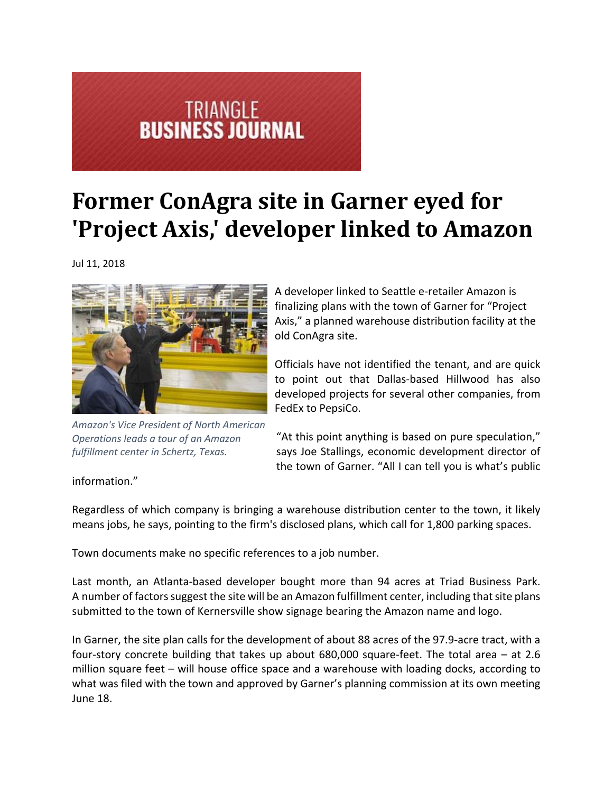## **TRIANGLE<br>BUSINESS JOURNAL**

## **Former ConAgra site in Garner eyed for 'Project Axis,' developer linked to Amazon**

Jul 11, 2018



*Amazon's Vice President of North American Operations leads a tour of an Amazon fulfillment center in Schertz, Texas.*

A developer linked to Seattle e‐retailer Amazon is finalizing plans with the town of Garner for "Project Axis," a planned warehouse distribution facility at the old ConAgra site.

Officials have not identified the tenant, and are quick to point out that Dallas‐based Hillwood has also developed projects for several other companies, from FedEx to PepsiCo.

"At this point anything is based on pure speculation," says Joe Stallings, economic development director of the town of Garner. "All I can tell you is what's public

information."

Regardless of which company is bringing a warehouse distribution center to the town, it likely means jobs, he says, pointing to the firm's disclosed plans, which call for 1,800 parking spaces.

Town documents make no specific references to a job number.

Last month, an Atlanta‐based developer bought more than 94 acres at Triad Business Park. A number of factors suggest the site will be an Amazon fulfillment center, including that site plans submitted to the town of Kernersville show signage bearing the Amazon name and logo.

In Garner, the site plan calls for the development of about 88 acres of the 97.9‐acre tract, with a four‐story concrete building that takes up about 680,000 square‐feet. The total area – at 2.6 million square feet – will house office space and a warehouse with loading docks, according to what was filed with the town and approved by Garner's planning commission at its own meeting June 18.